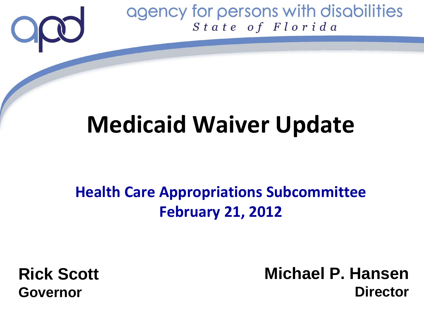

## **Medicaid Waiver Update**

### **Health Care Appropriations Subcommittee February 21, 2012**

**Rick Scott Governor**

**Michael P. Hansen Director**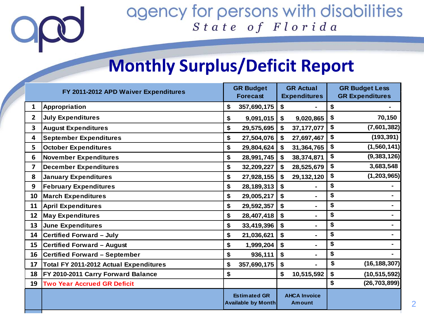### **Monthly Surplus/Deficit Report**

| FY 2011-2012 APD Waiver Expenditures |                                               | <b>GR Budget</b><br><b>Forecast</b>              |              | <b>GR Actual</b><br><b>Expenditures</b> |                                      | <b>GR Budget Less</b><br><b>GR Expenditures</b> |                |
|--------------------------------------|-----------------------------------------------|--------------------------------------------------|--------------|-----------------------------------------|--------------------------------------|-------------------------------------------------|----------------|
| 1                                    | Appropriation                                 | \$                                               | 357,690,175  | \$                                      |                                      | \$                                              |                |
| $\mathbf{2}$                         | <b>July Expenditures</b>                      | \$                                               | 9,091,015    | \$                                      | 9,020,865                            | \$                                              | 70,150         |
| 3                                    | <b>August Expenditures</b>                    | \$                                               | 29,575,695   | \$                                      | 37, 177, 077                         | \$                                              | (7,601,382)    |
| 4                                    | <b>September Expenditures</b>                 | \$                                               | 27,504,076   | \$                                      | 27,697,467                           | \$                                              | (193, 391)     |
| 5                                    | <b>October Expenditures</b>                   | \$                                               | 29,804,624   | \$                                      | 31,364,765                           | \$                                              | (1, 560, 141)  |
| 6                                    | <b>November Expenditures</b>                  | \$                                               | 28,991,745   | \$                                      | 38,374,871                           | \$                                              | (9, 383, 126)  |
| 7                                    | <b>December Expenditures</b>                  | \$                                               | 32,209,227   |                                         | 28,525,679                           | \$                                              | 3,683,548      |
| 8                                    | <b>January Expenditures</b>                   | \$                                               | 27,928,155   | \$                                      | 29, 132, 120                         | \$                                              | (1, 203, 965)  |
| 9                                    | <b>February Expenditures</b>                  | \$                                               | 28, 189, 313 | \$                                      |                                      | \$                                              |                |
| 10                                   | <b>March Expenditures</b>                     | \$                                               | 29,005,217   | \$                                      | $\blacksquare$                       | \$                                              |                |
| 11                                   | <b>April Expenditures</b>                     | \$                                               | 29,592,357   | \$                                      |                                      | \$                                              |                |
| 12                                   | <b>May Expenditures</b>                       | \$                                               | 28,407,418   | \$                                      |                                      | \$                                              | ۰.             |
| 13 <sup>2</sup>                      | June Expenditures                             | \$                                               | 33,419,396   | \$                                      | $\blacksquare$                       | \$                                              |                |
| 14                                   | <b>Certified Forward - July</b>               | \$                                               | 21,036,621   | \$                                      | $\blacksquare$                       | \$                                              | $\blacksquare$ |
| 15                                   | <b>Certified Forward - August</b>             | \$                                               | 1,999,204    | \$                                      |                                      | \$                                              |                |
| 16                                   | <b>Certified Forward - September</b>          | \$                                               | 936,111      | \$                                      |                                      | \$                                              |                |
| 17                                   | <b>Total FY 2011-2012 Actual Expenditures</b> | \$                                               | 357,690,175  | \$                                      |                                      | \$                                              | (16, 188, 307) |
| 18                                   | FY 2010-2011 Carry Forward Balance            | \$                                               |              | \$                                      | 10,515,592                           | \$                                              | (10, 515, 592) |
| 19                                   | <b>Two Year Accrued GR Deficit</b>            |                                                  |              |                                         |                                      | \$                                              | (26, 703, 899) |
|                                      |                                               | <b>Estimated GR</b><br><b>Available by Month</b> |              |                                         | <b>AHCA Invoice</b><br><b>Amount</b> |                                                 |                |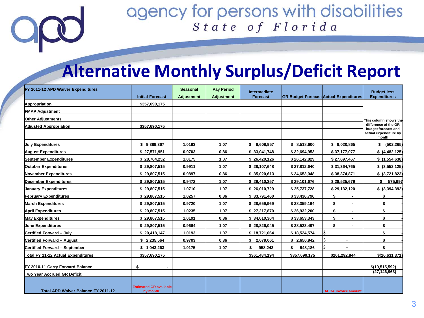### **Alternative Monthly Surplus/Deficit Report**

| FY 2011-12 APD Waiver Expenditures  |                                            | <b>Seasonal</b>   | <b>Pay Period</b> | Intermediate  |                                               |                                | <b>Budget less</b>                          |
|-------------------------------------|--------------------------------------------|-------------------|-------------------|---------------|-----------------------------------------------|--------------------------------|---------------------------------------------|
|                                     | <b>Initial Forecast</b>                    | <b>Adjustment</b> | <b>Adjustment</b> | Forecast      | <b>GR Budget Forecast Actual Expenditures</b> |                                | <b>Expenditures</b>                         |
| Appropriation                       | \$357,690,175                              |                   |                   |               |                                               |                                |                                             |
| <b>FMAP Adjustment</b>              |                                            |                   |                   |               |                                               |                                |                                             |
| Other Adjustments                   |                                            |                   |                   |               |                                               |                                | This column shows the                       |
| <b>Adjusted Appropriation</b>       | \$357,690,175                              |                   |                   |               |                                               |                                | difference of the GR<br>budget forecast and |
|                                     |                                            |                   |                   |               |                                               |                                | actual expenditure by<br>month              |
| <b>Uuly Expenditures</b>            | \$9,389,367                                | 1.0193            | 1.07              | \$8,608,957   | \$8,518,600                                   | \$9,020,865                    | \$ (502, 265)                               |
| <b>August Expenditures</b>          | \$27,571,951                               | 0.9703            | 0.86              | \$33.041.748  | \$32,694,953                                  | \$37,177,077                   | \$(4,482,125)                               |
| September Expenditures              | \$28,764,252                               | 1.0175            | 1.07              | \$26,420,126  | \$26,142,829                                  | \$27,697,467                   | \$(1,554,638)                               |
| <b>October Expenditures</b>         | \$29,807,515                               | 0.9911            | 1.07              | \$28,107,648  | \$27,812,640                                  | \$31,364,765                   | \$ (3,552,125)                              |
| November Expenditures               | \$29,807,515                               | 0.9897            | 0.86              | \$35,020,613  | \$34,653,048                                  | \$38,374,871                   | \$ (3,721,823)                              |
| <b>December Expenditures</b>        | \$29,807,515                               | 0.9472            | 1.07              | \$29,410,357  | \$29,101,676                                  | \$28,525,679                   | \$<br>575,997                               |
| <b>Uanuary Expenditures</b>         | \$29,807,515                               | 1.0710            | 1.07              | \$26,010,729  | \$25,737,728                                  | \$29,132,120                   | \$ (3,394,392)                              |
| <b>February Expenditures</b>        | \$29,807,515                               | 1.0257            | 0.86              | \$33,791,460  | \$33,436,796                                  | \$                             | \$                                          |
| <b>March Expenditures</b>           | \$29,807,515                               | 0.9720            | 1.07              | \$28,659,969  | \$28,359,164                                  | \$<br>$\blacksquare$           | \$                                          |
| <b>April Expenditures</b>           | \$29,807,515                               | 1.0235            | 1.07              | \$27,217,870  | \$26,932,200                                  | \$                             | \$                                          |
| <b>May Expenditures</b>             | \$29,807,515                               | 1.0191            | 0.86              | \$34,010,304  | \$33,653,343                                  | \$                             | \$                                          |
| <b>Uune Expenditures</b>            | \$29,807,515                               | 0.9664            | 1.07              | \$28.826.045  | \$28,523,497                                  | \$<br>$\blacksquare$           | \$                                          |
| Certified Forward - July            | \$20,418,147                               | 1.0193            | 1.07              | \$18,721,064  | \$18,524,574                                  | \$<br>$\overline{\phantom{a}}$ | \$                                          |
| Certified Forward - August          | \$2,235,564                                | 0.9703            | 0.86              | \$2,679,061   | \$2,650,942                                   | \$<br>$\blacksquare$           | \$                                          |
| Certified Forward - September       | \$1,043,263                                | 1.0175            | 1.07              | 958,243<br>\$ | 948,186<br>\$                                 | Ŝ.                             | \$                                          |
| Total FY 11-12 Actual Expenditures  | \$357,690,175                              |                   |                   | \$361,484,194 | \$357,690,175                                 | \$201,292,844                  | \$(16,631,371                               |
| FY 2010-11 Carry Forward Balance    | \$                                         |                   |                   |               |                                               |                                | \$(10,515,592)                              |
| Two Year Accrued GR Deficit         |                                            |                   |                   |               |                                               |                                | (27, 146, 963)                              |
| Total APD Waiver Balance FY 2011-12 | <b>Estimated GR available</b><br>by month. |                   |                   |               |                                               | <b>AHCA invoice amount</b>     |                                             |